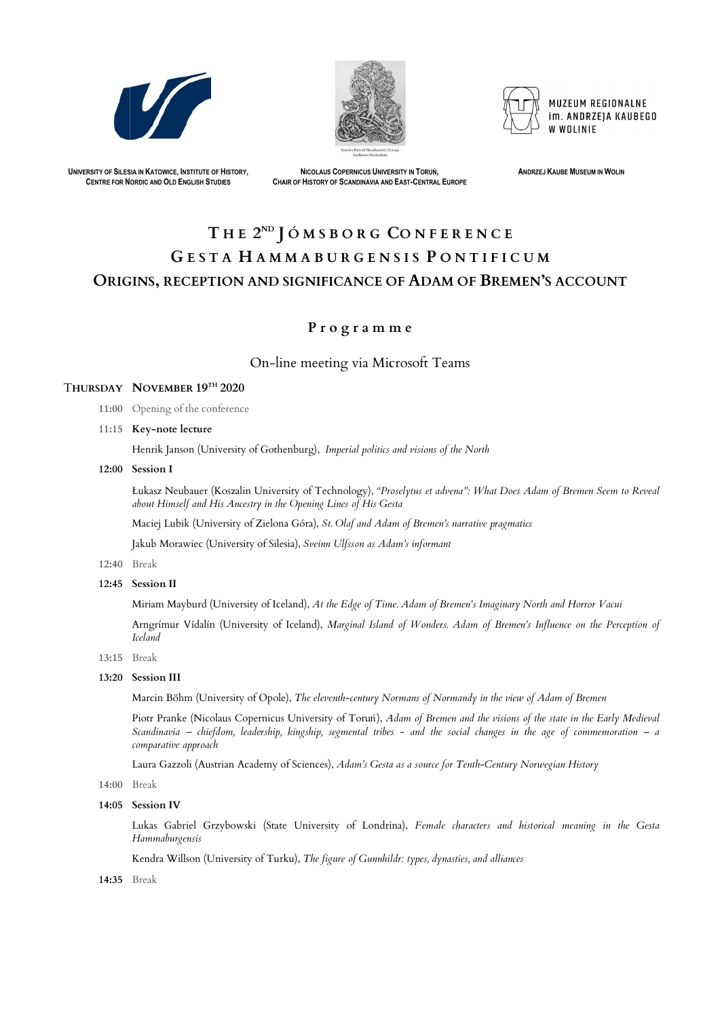





MUZEUM REGIONALNE im. ANDRZEJA KAUBEGO W WOLINIF

UNIVERSITY OF SILESIA IN KATOWICE, INSTITUTE OF HISTORY, CENTRE FOR N ORDIC AND OLD ENGLISH STUDIES

NICOLAUS COPERNICUS UNIVERSITY IN TORUŃ, CHAIR OF HISTORY OF SCANDINAVIA AND EAST-CENTRAL EUROPE **ANDRZEJ KAUBE MUSEUM IN WOLIN** 

# ORIGINS, RECEPTION AND SIGNIFICANCE OF ADAM OF BREMEN'S ACCOUNT THE 2<sup>ND</sup> JÓMSBORG CONFERENCE GESTA HAMMABURGENSIS PONTIFICUM ECOMPROMENT SURFAINT, THE RENE CENTRE CONNECTION CONSULTER AND THE RENE ASSESSED IN A SERVE CHANNEL CONNECTION CONNECTION CONNECTION CONNECTION CONNECTION CONNECTION CONNECTION CONNECTION CONNECTION CONNECTION CONNECTION C

# P r o g r a m m e

- 11:00 Opening of the conference
- 11:15 Key-note lecture

Henrik Janson (University of Gothenburg), *Imperial politics and visions of the North* 

### 12:00 Session I

Łukasz Neubauer (Koszalin University of Technology), "Proselytus et advena": What Does Adam of Bremen Seem to Reveal about Himself and His Ancestry in the Opening Lines of His Gesta Imperial politics and visions of the North<br>echnology), "Proselytus et advena": What Does Adam of Bremen Seem to<br>7 Lines of His Gesta<br>St. Olaf and Adam of Bremen's narrative pragmatics

12:40 Break

Miriam Mayburd (University of Iceland), *At the Edge of Time. Adam of Bremen's Imaginary North and Horror Vacui*<br>Arngrímur Vídalín (University of Iceland), *Marginal Island of Wonders. Adam of Bremen's Influence on the Per* Iceland

12:45 Session II

Miriam Mayburd (University of Iceland), *At the Edge of Time. Adam of Bremen's Imaginary North and Horror Vacui* 

13:15 Break

### 13:20 Session III

Marcin Böhm (University of Opole), *The eleventh-century Normans of Normandy in the view of Adam of Bremen* 

Piotr Pranke (Nicolaus Copernicus University of Toruń), Adam of Bremen and the visions of the state in the Early Medieval Scandinavia – chiefdom, leadership, kingship, segmental tribes - and the social changes in the age of commemoration – a<br>comparative approach<br>Laura Gazzoli (Austrian Academy of Sciences), *Adam's Gesta as a source* for Tent comparative approach century Normans of Normandy in the view of Adam of Bremen<br>Toruń), Adam of Bremen and the visions of the state in the Early<br>ental tribes - and the social changes in the age of commemora

Laura Gazzoli (Austrian Academy of Sciences), *Adam's Gesta as a source for Tenth-Century Norwegian History* 

Lukas Gabriel Grzybowski (State University of Londrina), *Female characters and historical meaning in the Gesta* Hammaburgensis

14:00 Break

14:05 Session IV

14:35 Break

Maciej Lubik (University of Zielona Góra), (University of Góra), St. Olaf and Adam of Bremen's narrative pragmatics

Jakub Morawiec (University of Silesia), *Sveinn Ulfsson as Adam's informant* 

# On On-line meeting via Microsoft via Microsoft Teams

## THURSDAY NOVEMBER 19<sup>th</sup> 2020

Kendra Willson (University of Turku), The figure of Gunnhildr: types, dynasties, and alliances